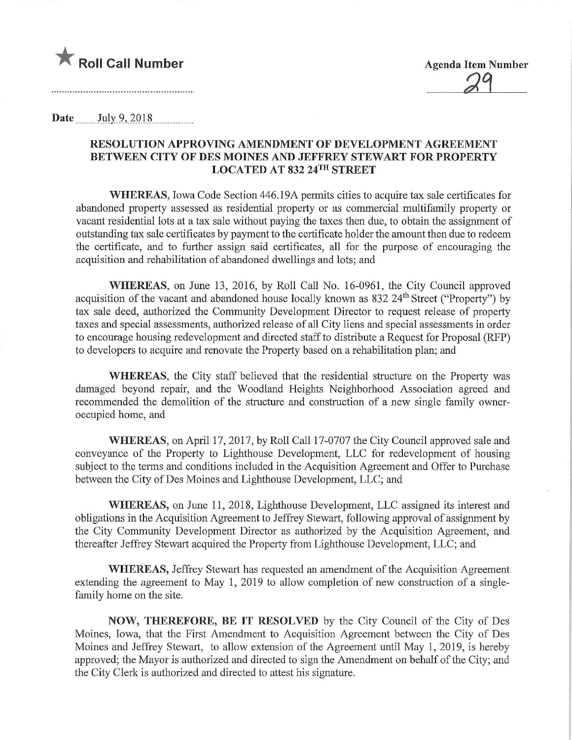

 $29$ 

Date  $July\,9, 2018$ 

## RESOLUTION APPROVING AMENDMENT OF DEVELOPMENT AGREEMENT BETWEEN CITY OF DES MOINES AND JEFFREY STEWART FOR PROPERTY LOCATED AT 832 24TH STREET

WHEREAS, Iowa Code Section 446.19A permits cities to acquire tax sale certificates for abandoned property assessed as residential property or as commercial multifamily property or vacant residential lots at a tax sale without paying the taxes then due, to obtain the assignment of outstanding tax sale certificates by payment to the certificate holder the amount then due to redeem the certificate, and to further assign said certificates, all for the purpose of encouraging the acquisition and rehabilitation of abandoned dwellings and lots; and

WHEREAS, on June 13, 2016, by Roll Call No. 16-0961, the City Council approved acquisition of the vacant and abandoned house locally known as 832 24<sup>th</sup> Street ("Property") by tax sale deed, authorized the Community Development Director to request release of property taxes and special assessments, authorized release of all City liens and special assessments in order to encourage housing redevelopment and directed staff to distribute a Request for Proposal (RFP) to developers to acquire and renovate the Property based on a rehabilitation plan; and

WHEREAS, the City staff believed that the residential structure on the Property was damaged beyond repair, and the Woodland Heights Neighborhood Association agreed and recommended the demolition of the structure and construction of a new single family owneroccupied home, and

WHEREAS, on April 17, 2017, by Roll Call 17-0707 the City Council approved sale and conveyance of the Property to Lighthouse Development, LLC for redevelopment of housing subject to the terms and conditions included in the Acquisition Agreement and Offer to Purchase between the City of Des Moines and Lighthouse Development, LLC; and

WHEREAS, on June 11, 2018, Lighthouse Development, LLC assigned its interest and obligations in the Acquisition Agreement to Jeffrey Stewart, following approval of assignment by the City Community Development Director as authorized by the Acquisition Agreement, and thereafter Jeffrey Stewart acquired the Property from Lighthouse Development, LLC; and

WHEREAS, Jeffrey Stewart has requested an amendment of the Acquisition Agreement extending the agreement to May 1, 2019 to allow completion of new construction of a singlefamily home on the site.

NOW, THEREFORE, BE IT RESOLVED by the City Council of the City of Des Moines, Iowa, that the First Amendment to Acquisition Agreement between the City of Des Moines and Jeffrey Stewart, to allow extension of the Agreement until May 1, 2019, is hereby approved; the Mayor is authorized and directed to sign the Amendment on behalf of the City; and the City Clerk is authorized and directed to attest his signature.